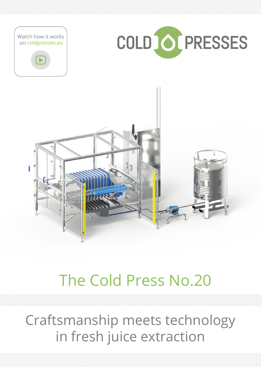

# The Cold Press No.20

Craftsmanship meets technology in fresh juice extraction